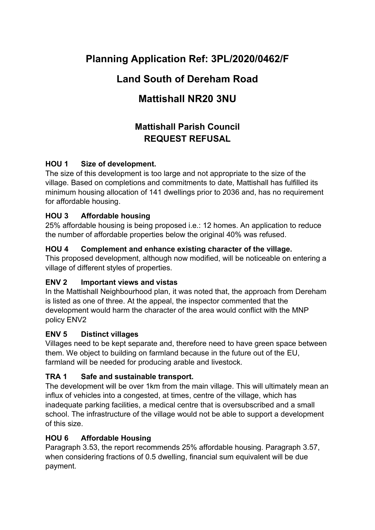# **Planning Application Ref: 3PL/2020/0462/F**

## **Land South of Dereham Road**

# **Mattishall NR20 3NU**

## **Mattishall Parish Council REQUEST REFUSAL**

## **HOU 1 Size of development.**

The size of this development is too large and not appropriate to the size of the village. Based on completions and commitments to date, Mattishall has fulfilled its minimum housing allocation of 141 dwellings prior to 2036 and, has no requirement for affordable housing.

## **HOU 3 Affordable housing**

25% affordable housing is being proposed i.e.: 12 homes. An application to reduce the number of affordable properties below the original 40% was refused.

## **HOU 4 Complement and enhance existing character of the village.**

This proposed development, although now modified, will be noticeable on entering a village of different styles of properties.

#### **ENV 2 Important views and vistas**

In the Mattishall Neighbourhood plan, it was noted that, the approach from Dereham is listed as one of three. At the appeal, the inspector commented that the development would harm the character of the area would conflict with the MNP policy ENV2

#### **ENV 5 Distinct villages**

Villages need to be kept separate and, therefore need to have green space between them. We object to building on farmland because in the future out of the EU, farmland will be needed for producing arable and livestock.

## **TRA 1 Safe and sustainable transport.**

The development will be over 1km from the main village. This will ultimately mean an influx of vehicles into a congested, at times, centre of the village, which has inadequate parking facilities, a medical centre that is oversubscribed and a small school. The infrastructure of the village would not be able to support a development of this size.

## **HOU 6 Affordable Housing**

Paragraph 3.53, the report recommends 25% affordable housing. Paragraph 3.57, when considering fractions of 0.5 dwelling, financial sum equivalent will be due payment.